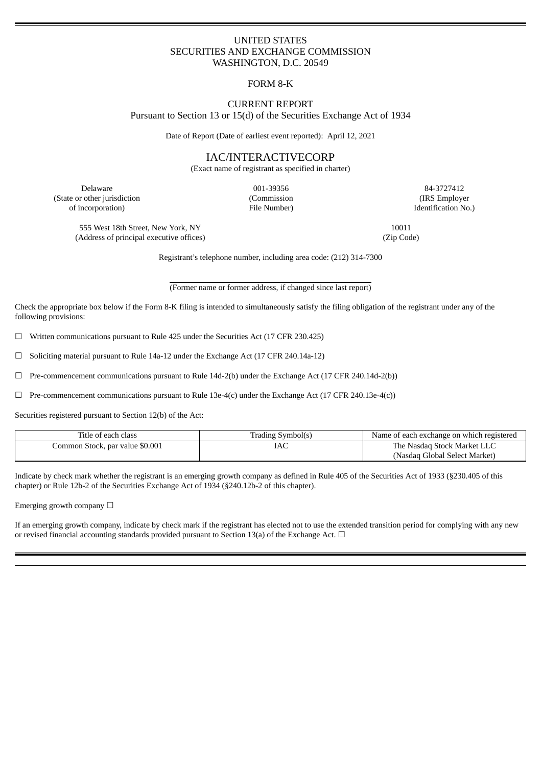# UNITED STATES SECURITIES AND EXCHANGE COMMISSION WASHINGTON, D.C. 20549

# FORM 8-K

## CURRENT REPORT Pursuant to Section 13 or 15(d) of the Securities Exchange Act of 1934

Date of Report (Date of earliest event reported): April 12, 2021

# IAC/INTERACTIVECORP

(Exact name of registrant as specified in charter)

(State or other jurisdiction (Commission (IRS Employer of incorporation) File Number) Identification No.)

Delaware 001-39356 84-3727412

555 West 18th Street, New York, NY 10011 (Address of principal executive offices) (Zip Code)

Registrant's telephone number, including area code: (212) 314-7300

(Former name or former address, if changed since last report)

Check the appropriate box below if the Form 8-K filing is intended to simultaneously satisfy the filing obligation of the registrant under any of the following provisions:

 $\Box$  Written communications pursuant to Rule 425 under the Securities Act (17 CFR 230.425)

☐ Soliciting material pursuant to Rule 14a-12 under the Exchange Act (17 CFR 240.14a-12)

☐ Pre-commencement communications pursuant to Rule 14d-2(b) under the Exchange Act (17 CFR 240.14d-2(b))

 $\Box$  Pre-commencement communications pursuant to Rule 13e-4(c) under the Exchange Act (17 CFR 240.13e-4(c))

Securities registered pursuant to Section 12(b) of the Act:

| Title of each class             | Trading Symbol(s) | Name of each exchange on which registered |
|---------------------------------|-------------------|-------------------------------------------|
| Common Stock, par value \$0.001 | IAC               | The Nasdag Stock Market LLC               |
|                                 |                   | (Nasdag Global Select Market)             |

Indicate by check mark whether the registrant is an emerging growth company as defined in Rule 405 of the Securities Act of 1933 (§230.405 of this chapter) or Rule 12b-2 of the Securities Exchange Act of 1934 (§240.12b-2 of this chapter).

Emerging growth company  $\Box$ 

If an emerging growth company, indicate by check mark if the registrant has elected not to use the extended transition period for complying with any new or revised financial accounting standards provided pursuant to Section 13(a) of the Exchange Act.  $\Box$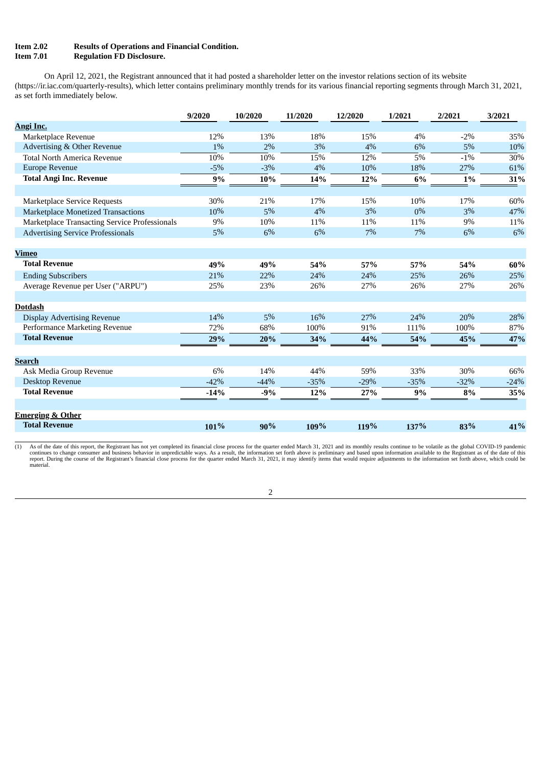#### **Item 2.02 Results of Operations and Financial Condition. Item 7.01 Regulation FD Disclosure.**

On April 12, 2021, the Registrant announced that it had posted a shareholder letter on the investor relations section of its website (https://ir.iac.com/quarterly-results), which letter contains preliminary monthly trends for its various financial reporting segments through March 31, 2021, as set forth immediately below.

|                                               | 9/2020 | 10/2020 | 11/2020 | 12/2020 | 1/2021 | 2/2021 | 3/2021 |
|-----------------------------------------------|--------|---------|---------|---------|--------|--------|--------|
| <b>Angi Inc.</b>                              |        |         |         |         |        |        |        |
| Marketplace Revenue                           | 12%    | 13%     | 18%     | 15%     | 4%     | $-2\%$ | 35%    |
| Advertising & Other Revenue                   | $1\%$  | 2%      | 3%      | 4%      | 6%     | 5%     | 10%    |
| <b>Total North America Revenue</b>            | 10%    | 10%     | 15%     | 12%     | 5%     | $-1\%$ | 30%    |
| Europe Revenue                                | $-5%$  | $-3%$   | 4%      | 10%     | 18%    | 27%    | 61%    |
| <b>Total Angi Inc. Revenue</b>                | 9%     | 10%     | 14%     | 12%     | 6%     | 1%     | 31%    |
|                                               |        |         |         |         |        |        |        |
| <b>Marketplace Service Requests</b>           | 30%    | 21%     | 17%     | 15%     | 10%    | 17%    | 60%    |
| <b>Marketplace Monetized Transactions</b>     | 10%    | 5%      | 4%      | 3%      | $0\%$  | 3%     | 47%    |
| Marketplace Transacting Service Professionals | 9%     | $10\%$  | 11%     | 11%     | 11%    | 9%     | 11%    |
| <b>Advertising Service Professionals</b>      | 5%     | 6%      | 6%      | 7%      | 7%     | 6%     | 6%     |
|                                               |        |         |         |         |        |        |        |
| <b>Vimeo</b>                                  |        |         |         |         |        |        |        |
| <b>Total Revenue</b>                          | 49%    | 49%     | 54%     | 57%     | 57%    | 54%    | $60\%$ |
| <b>Ending Subscribers</b>                     | 21%    | 22%     | 24%     | 24%     | 25%    | 26%    | 25%    |
| Average Revenue per User ("ARPU")             | 25%    | 23%     | 26%     | 27%     | 26%    | 27%    | 26%    |
|                                               |        |         |         |         |        |        |        |
| <b>Dotdash</b>                                |        |         |         |         |        |        |        |
| <b>Display Advertising Revenue</b>            | 14%    | 5%      | 16%     | 27%     | 24%    | 20%    | 28%    |
| Performance Marketing Revenue                 | 72%    | 68%     | 100%    | 91%     | 111%   | 100%   | 87%    |
| <b>Total Revenue</b>                          | 29%    | 20%     | 34%     | 44%     | 54%    | 45%    | 47%    |
|                                               |        |         |         |         |        |        |        |
| <b>Search</b>                                 |        |         |         |         |        |        |        |
| Ask Media Group Revenue                       | 6%     | 14%     | 44%     | 59%     | 33%    | 30%    | 66%    |
| Desktop Revenue                               | $-42%$ | $-44%$  | $-35%$  | $-29%$  | $-35%$ | $-32%$ | $-24%$ |
| <b>Total Revenue</b>                          | $-14%$ | $-9%$   | 12%     | 27%     | 9%     | 8%     | 35%    |
|                                               |        |         |         |         |        |        |        |
| <b>Emerging &amp; Other</b>                   |        |         |         |         |        |        |        |
| <b>Total Revenue</b>                          | 101%   | 90%     | 109%    | 119%    | 137%   | 83%    | 41%    |

As of the date of this report, the Registrant has not yet completed its financial close process for the quarter ended March 31, 2021 and its monthly results continue to be volatile as the global COVID-19 pandemic continues material.